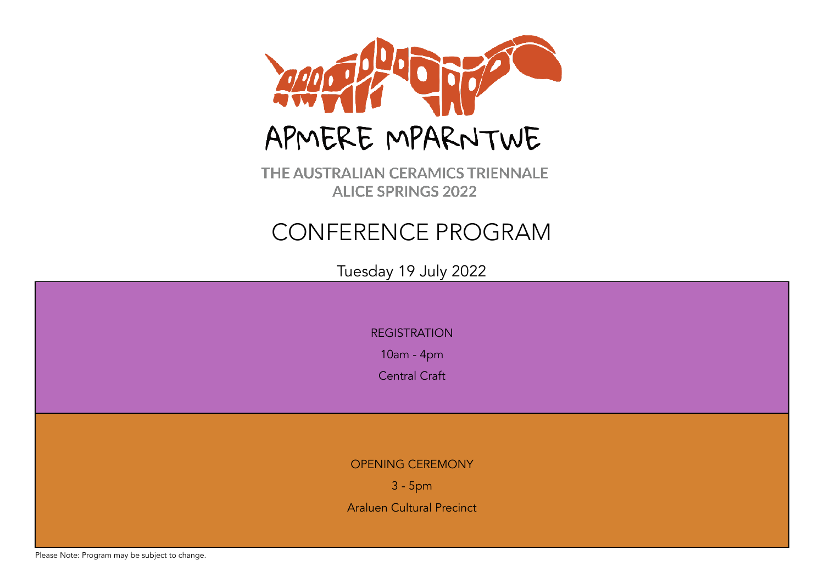

THE AUSTRALIAN CERAMICS TRIENNALE **ALICE SPRINGS 2022** 

# CONFERENCE PROGRAM

Tuesday 19 July 2022

REGISTRATION

10am - 4pm

Central Craft

OPENING CEREMONY

3 - 5pm

Araluen Cultural Precinct

Please Note: Program may be subject to change.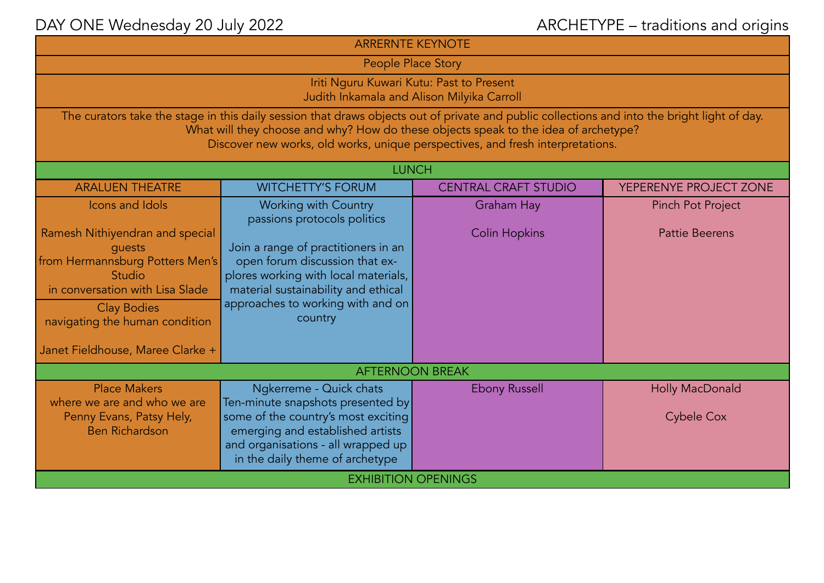| <b>ARRERNTE KEYNOTE</b>                                                                                                                                                                                                                                                                                               |                                                                                                                                                                                                                                                                    |                                           |                                                   |  |  |  |
|-----------------------------------------------------------------------------------------------------------------------------------------------------------------------------------------------------------------------------------------------------------------------------------------------------------------------|--------------------------------------------------------------------------------------------------------------------------------------------------------------------------------------------------------------------------------------------------------------------|-------------------------------------------|---------------------------------------------------|--|--|--|
| People Place Story                                                                                                                                                                                                                                                                                                    |                                                                                                                                                                                                                                                                    |                                           |                                                   |  |  |  |
| Iriti Nguru Kuwari Kutu: Past to Present<br>Judith Inkamala and Alison Milyika Carroll                                                                                                                                                                                                                                |                                                                                                                                                                                                                                                                    |                                           |                                                   |  |  |  |
| The curators take the stage in this daily session that draws objects out of private and public collections and into the bright light of day.<br>What will they choose and why? How do these objects speak to the idea of archetype?<br>Discover new works, old works, unique perspectives, and fresh interpretations. |                                                                                                                                                                                                                                                                    |                                           |                                                   |  |  |  |
|                                                                                                                                                                                                                                                                                                                       | <b>LUNCH</b>                                                                                                                                                                                                                                                       |                                           |                                                   |  |  |  |
| <b>ARALUEN THEATRE</b>                                                                                                                                                                                                                                                                                                | <b>WITCHETTY'S FORUM</b>                                                                                                                                                                                                                                           | <b>CENTRAL CRAFT STUDIO</b>               | YEPERENYE PROJECT ZONE                            |  |  |  |
| Icons and Idols<br>Ramesh Nithiyendran and special<br>quests<br>from Hermannsburg Potters Men's<br>Studio<br>in conversation with Lisa Slade<br><b>Clay Bodies</b><br>navigating the human condition<br>Janet Fieldhouse, Maree Clarke +                                                                              | <b>Working with Country</b><br>passions protocols politics<br>Join a range of practitioners in an<br>open forum discussion that ex-<br>plores working with local materials,<br>material sustainability and ethical<br>approaches to working with and on<br>country | <b>Graham Hay</b><br><b>Colin Hopkins</b> | <b>Pinch Pot Project</b><br><b>Pattie Beerens</b> |  |  |  |
| <b>AFTERNOON BREAK</b>                                                                                                                                                                                                                                                                                                |                                                                                                                                                                                                                                                                    |                                           |                                                   |  |  |  |
| <b>Place Makers</b><br>where we are and who we are<br>Penny Evans, Patsy Hely,<br><b>Ben Richardson</b>                                                                                                                                                                                                               | Ngkerreme - Quick chats<br>Ten-minute snapshots presented by<br>some of the country's most exciting<br>emerging and established artists<br>and organisations - all wrapped up<br>in the daily theme of archetype                                                   | <b>Ebony Russell</b>                      | Holly MacDonald<br><b>Cybele Cox</b>              |  |  |  |
| <b>EXHIBITION OPENINGS</b>                                                                                                                                                                                                                                                                                            |                                                                                                                                                                                                                                                                    |                                           |                                                   |  |  |  |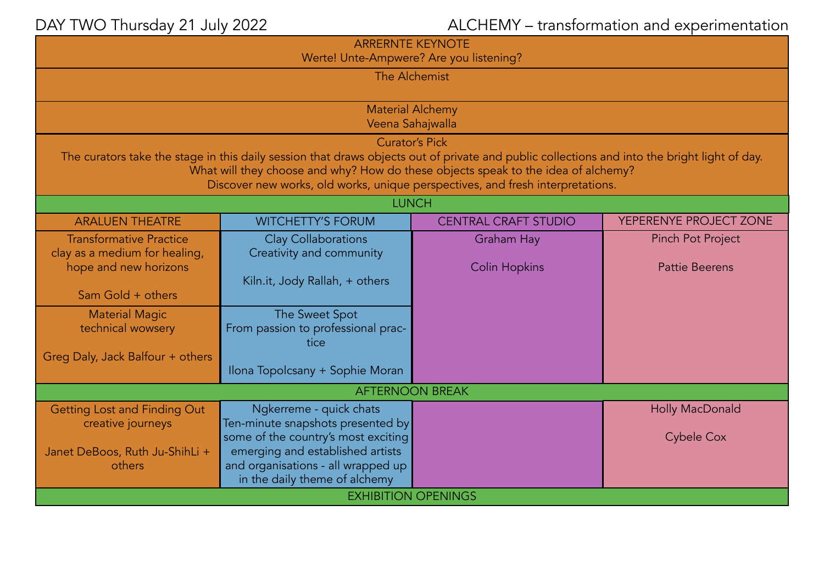## DAY TWO Thursday 21 July 2022 **ALCHEMY** – transformation and experimentation

| <b>ARRERNTE KEYNOTE</b><br>Werte! Unte-Ampwere? Are you listening?                                                                                                                                                                                                                                                                           |                                                                                                                                                |                                           |                                                   |  |  |  |
|----------------------------------------------------------------------------------------------------------------------------------------------------------------------------------------------------------------------------------------------------------------------------------------------------------------------------------------------|------------------------------------------------------------------------------------------------------------------------------------------------|-------------------------------------------|---------------------------------------------------|--|--|--|
| The Alchemist                                                                                                                                                                                                                                                                                                                                |                                                                                                                                                |                                           |                                                   |  |  |  |
| <b>Material Alchemy</b><br>Veena Sahajwalla                                                                                                                                                                                                                                                                                                  |                                                                                                                                                |                                           |                                                   |  |  |  |
| <b>Curator's Pick</b><br>The curators take the stage in this daily session that draws objects out of private and public collections and into the bright light of day.<br>What will they choose and why? How do these objects speak to the idea of alchemy?<br>Discover new works, old works, unique perspectives, and fresh interpretations. |                                                                                                                                                |                                           |                                                   |  |  |  |
| <b>LUNCH</b>                                                                                                                                                                                                                                                                                                                                 |                                                                                                                                                |                                           |                                                   |  |  |  |
| <b>ARALUEN THEATRE</b>                                                                                                                                                                                                                                                                                                                       | <b>WITCHETTY'S FORUM</b>                                                                                                                       | <b>CENTRAL CRAFT STUDIO</b>               | YEPERENYE PROJECT ZONE                            |  |  |  |
| <b>Transformative Practice</b><br>clay as a medium for healing,<br>hope and new horizons                                                                                                                                                                                                                                                     | <b>Clay Collaborations</b><br>Creativity and community                                                                                         | <b>Graham Hay</b><br><b>Colin Hopkins</b> | <b>Pinch Pot Project</b><br><b>Pattie Beerens</b> |  |  |  |
| Sam Gold + others                                                                                                                                                                                                                                                                                                                            | Kiln.it, Jody Rallah, + others                                                                                                                 |                                           |                                                   |  |  |  |
| <b>Material Magic</b><br>technical wowsery                                                                                                                                                                                                                                                                                                   | The Sweet Spot<br>From passion to professional prac-<br>tice                                                                                   |                                           |                                                   |  |  |  |
| Greg Daly, Jack Balfour + others                                                                                                                                                                                                                                                                                                             | Ilona Topolcsany + Sophie Moran                                                                                                                |                                           |                                                   |  |  |  |
| <b>AFTERNOON BREAK</b>                                                                                                                                                                                                                                                                                                                       |                                                                                                                                                |                                           |                                                   |  |  |  |
| <b>Getting Lost and Finding Out</b><br>creative journeys                                                                                                                                                                                                                                                                                     | Ngkerreme - quick chats<br>Ten-minute snapshots presented by                                                                                   |                                           | Holly MacDonald                                   |  |  |  |
| Janet DeBoos, Ruth Ju-ShihLi +<br>others                                                                                                                                                                                                                                                                                                     | some of the country's most exciting<br>emerging and established artists<br>and organisations - all wrapped up<br>in the daily theme of alchemy |                                           | <b>Cybele Cox</b>                                 |  |  |  |
| <b>EXHIBITION OPENINGS</b>                                                                                                                                                                                                                                                                                                                   |                                                                                                                                                |                                           |                                                   |  |  |  |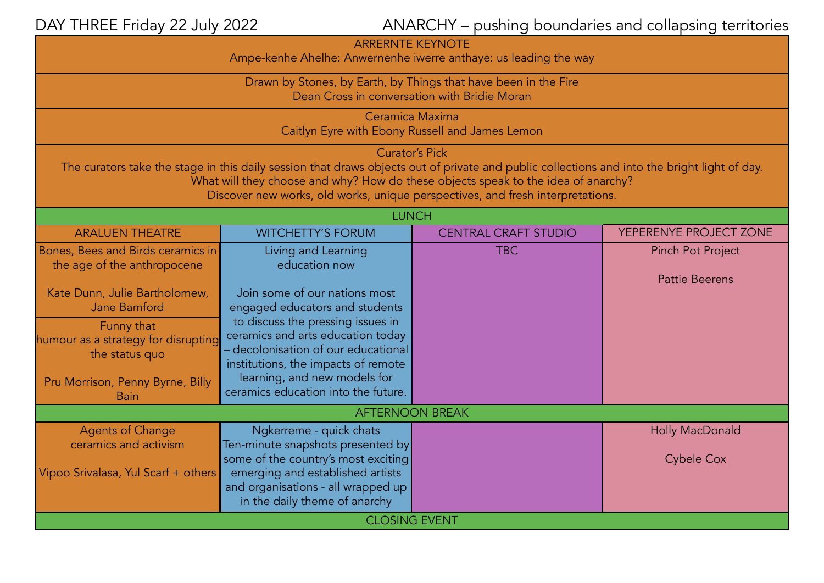DAY THREE Friday 22 July 2022 **ANARCHY** – pushing boundaries and collapsing territories

| <b>ARRERNTE KEYNOTE</b><br>Ampe-kenhe Ahelhe: Anwernenhe iwerre anthaye: us leading the way                                                                                                                                                                                                                                                  |                                                                                                                                                    |                             |                                                   |  |  |
|----------------------------------------------------------------------------------------------------------------------------------------------------------------------------------------------------------------------------------------------------------------------------------------------------------------------------------------------|----------------------------------------------------------------------------------------------------------------------------------------------------|-----------------------------|---------------------------------------------------|--|--|
| Drawn by Stones, by Earth, by Things that have been in the Fire<br>Dean Cross in conversation with Bridie Moran                                                                                                                                                                                                                              |                                                                                                                                                    |                             |                                                   |  |  |
| Ceramica Maxima<br>Caitlyn Eyre with Ebony Russell and James Lemon                                                                                                                                                                                                                                                                           |                                                                                                                                                    |                             |                                                   |  |  |
| <b>Curator's Pick</b><br>The curators take the stage in this daily session that draws objects out of private and public collections and into the bright light of day.<br>What will they choose and why? How do these objects speak to the idea of anarchy?<br>Discover new works, old works, unique perspectives, and fresh interpretations. |                                                                                                                                                    |                             |                                                   |  |  |
| <b>LUNCH</b>                                                                                                                                                                                                                                                                                                                                 |                                                                                                                                                    |                             |                                                   |  |  |
| <b>ARALUEN THEATRE</b>                                                                                                                                                                                                                                                                                                                       | <b>WITCHETTY'S FORUM</b>                                                                                                                           | <b>CENTRAL CRAFT STUDIO</b> | YEPERENYE PROJECT ZONE                            |  |  |
| Bones, Bees and Birds ceramics in<br>the age of the anthropocene                                                                                                                                                                                                                                                                             | Living and Learning<br>education now                                                                                                               | <b>TBC</b>                  | <b>Pinch Pot Project</b><br><b>Pattie Beerens</b> |  |  |
| Kate Dunn, Julie Bartholomew,<br>Jane Bamford                                                                                                                                                                                                                                                                                                | Join some of our nations most<br>engaged educators and students                                                                                    |                             |                                                   |  |  |
| Funny that<br>humour as a strategy for disrupting<br>the status quo                                                                                                                                                                                                                                                                          | to discuss the pressing issues in<br>ceramics and arts education today<br>decolonisation of our educational<br>institutions, the impacts of remote |                             |                                                   |  |  |
| Pru Morrison, Penny Byrne, Billy<br><b>Bain</b>                                                                                                                                                                                                                                                                                              | learning, and new models for<br>ceramics education into the future.                                                                                |                             |                                                   |  |  |
| <b>AFTERNOON BREAK</b>                                                                                                                                                                                                                                                                                                                       |                                                                                                                                                    |                             |                                                   |  |  |
| <b>Agents of Change</b><br>ceramics and activism                                                                                                                                                                                                                                                                                             | Ngkerreme - quick chats<br>Ten-minute snapshots presented by                                                                                       |                             | Holly MacDonald                                   |  |  |
| Vipoo Srivalasa, Yul Scarf + others                                                                                                                                                                                                                                                                                                          | some of the country's most exciting<br>emerging and established artists<br>and organisations - all wrapped up<br>in the daily theme of anarchy     |                             | <b>Cybele Cox</b>                                 |  |  |
| <b>CLOSING EVENT</b>                                                                                                                                                                                                                                                                                                                         |                                                                                                                                                    |                             |                                                   |  |  |